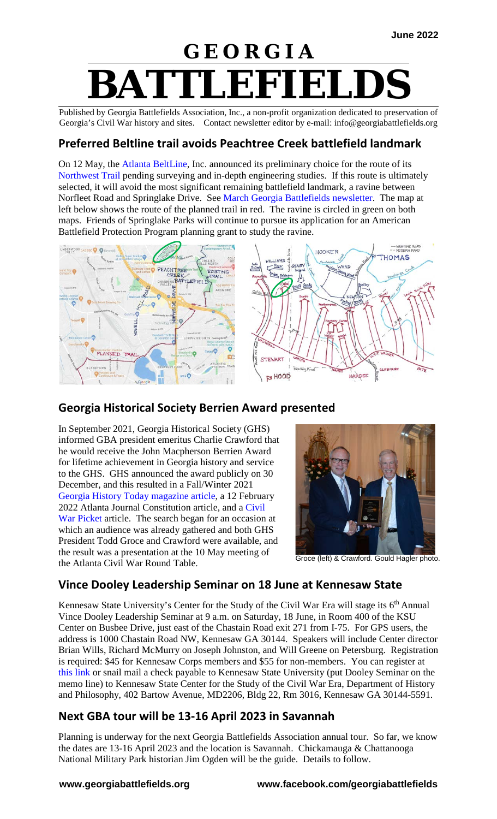# **G E O R G I A BATTLEFIEL**

Published by Georgia Battlefields Association, Inc., a non-profit organization dedicated to preservation of Georgia's Civil War history and sites. Contact newsletter editor by e-mail: info@georgiabattlefields.org

#### **Preferred Beltline trail avoids Peachtree Creek battlefield landmark**

On 12 May, the [Atlanta BeltLine,](https://beltline.org/) Inc. announced its preliminary choice for the route of its [Northwest Trail](https://www.ajc.com/news/atlanta-news/heres-the-route-the-beltline-could-take-through-nw-atlanta-into-buckhead/STUSLYYHORAXHBNPMUMV7VLE6E/) pending surveying and in-depth engineering studies. If this route is ultimately selected, it will avoid the most significant remaining battlefield landmark, a ravine between Norfleet Road and Springlake Drive. See [March Georgia Battlefields newsletter.](http://www.georgiabattlefields.org/pdf_files/GBAnews2203.pdf) The map at left below shows the route of the planned trail in red. The ravine is circled in green on both maps. Friends of Springlake Parks will continue to pursue its application for an American Battlefield Protection Program planning grant to study the ravine.





### **Georgia Historical Society Berrien Award presented**

In September 2021, Georgia Historical Society (GHS) informed GBA president emeritus Charlie Crawford that he would receive the John Macpherson Berrien Award for lifetime achievement in Georgia history and service to the GHS. GHS announced the award publicly on 30 December, and this resulted in a Fall/Winter 2021 [Georgia History Today magazine](https://georgiahistory.com/publications-scholarship/georgia-history-today/georgia-history-today-archives/) article, a 12 February 2022 Atlanta Journal Constitution article, and a [Civil](http://civil-war-picket.blogspot.com/2022/01/he-helps-you-learn-about-battlefield.html)  [War Picket a](http://civil-war-picket.blogspot.com/2022/01/he-helps-you-learn-about-battlefield.html)rticle. The search began for an occasion at which an audience was already gathered and both GHS President Todd Groce and Crawford were available, and the result was a presentation at the 10 May meeting of the Atlanta Civil War Round Table.



Groce (left) & Crawford. Gould Hagler photo.

### **Vince Dooley Leadership Seminar on 18 June at Kennesaw State**

Kennesaw State University's Center for the Study of the Civil War Era will stage its  $6<sup>th</sup>$  Annual Vince Dooley Leadership Seminar at 9 a.m. on Saturday, 18 June, in Room 400 of the KSU Center on Busbee Drive, just east of the Chastain Road exit 271 from I-75. For GPS users, the address is 1000 Chastain Road NW, Kennesaw GA 30144. Speakers will include Center director Brian Wills, Richard McMurry on Joseph Johnston, and Will Greene on Petersburg. Registration is required: \$45 for Kennesaw Corps members and \$55 for non-members. You can register at [this link](https://epay.kennesaw.edu/C20923_ustores/web/product_detail.jsp?PRODUCTID=2582) or snail mail a check payable to Kennesaw State University (put Dooley Seminar on the memo line) to Kennesaw State Center for the Study of the Civil War Era, Department of History and Philosophy, 402 Bartow Avenue, MD2206, Bldg 22, Rm 3016, Kennesaw GA 30144-5591.

### **Next GBA tour will be 13-16 April 2023 in Savannah**

Planning is underway for the next Georgia Battlefields Association annual tour. So far, we know the dates are 13-16 April 2023 and the location is Savannah. Chickamauga & Chattanooga National Military Park historian Jim Ogden will be the guide. Details to follow.